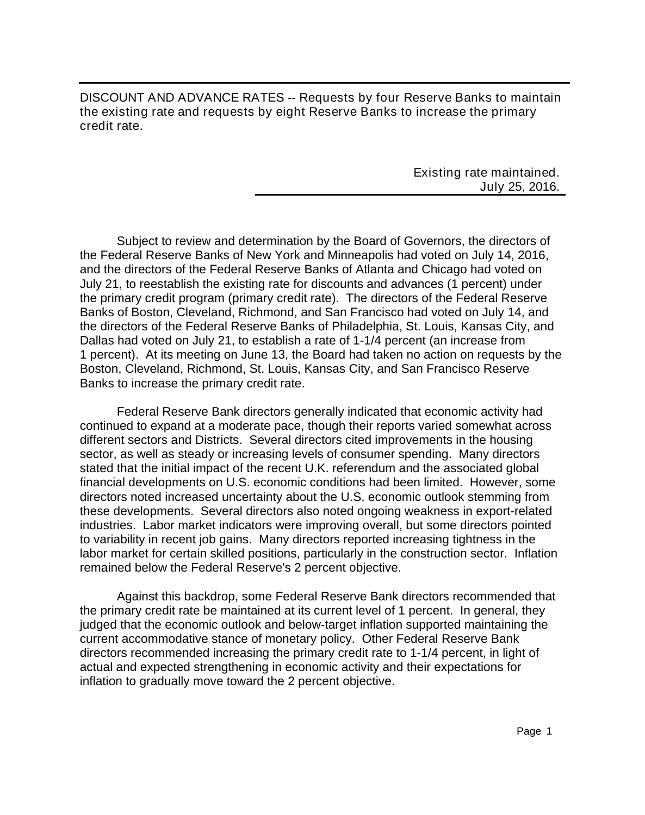DISCOUNT AND ADVANCE RATES -- Requests by four Reserve Banks to maintain the existing rate and requests by eight Reserve Banks to increase the primary credit rate.

> Existing rate maintained. July 25, 2016.

Subject to review and determination by the Board of Governors, the directors of the Federal Reserve Banks of New York and Minneapolis had voted on July 14, 2016, and the directors of the Federal Reserve Banks of Atlanta and Chicago had voted on July 21, to reestablish the existing rate for discounts and advances (1 percent) under the primary credit program (primary credit rate). The directors of the Federal Reserve Banks of Boston, Cleveland, Richmond, and San Francisco had voted on July 14, and the directors of the Federal Reserve Banks of Philadelphia, St. Louis, Kansas City, and Dallas had voted on July 21, to establish a rate of 1-1/4 percent (an increase from 1 percent). At its meeting on June 13, the Board had taken no action on requests by the Boston, Cleveland, Richmond, St. Louis, Kansas City, and San Francisco Reserve Banks to increase the primary credit rate.

Federal Reserve Bank directors generally indicated that economic activity had continued to expand at a moderate pace, though their reports varied somewhat across different sectors and Districts. Several directors cited improvements in the housing sector, as well as steady or increasing levels of consumer spending. Many directors stated that the initial impact of the recent U.K. referendum and the associated global financial developments on U.S. economic conditions had been limited. However, some directors noted increased uncertainty about the U.S. economic outlook stemming from these developments. Several directors also noted ongoing weakness in export-related industries. Labor market indicators were improving overall, but some directors pointed to variability in recent job gains. Many directors reported increasing tightness in the labor market for certain skilled positions, particularly in the construction sector. Inflation remained below the Federal Reserve's 2 percent objective.

Against this backdrop, some Federal Reserve Bank directors recommended that the primary credit rate be maintained at its current level of 1 percent. In general, they judged that the economic outlook and below-target inflation supported maintaining the current accommodative stance of monetary policy. Other Federal Reserve Bank directors recommended increasing the primary credit rate to 1-1/4 percent, in light of actual and expected strengthening in economic activity and their expectations for inflation to gradually move toward the 2 percent objective.